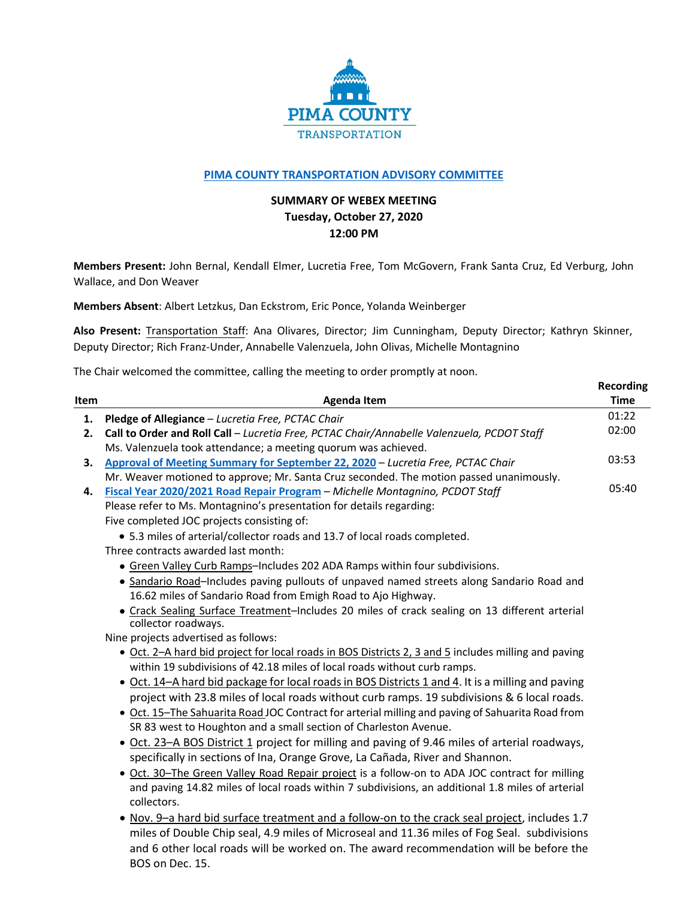

## **[PIMA COUNTY TRANSPORTATION ADVISORY COMMITTEE](https://webcms.pima.gov/cms/One.aspx?portalId=169&pageId=355530)**

## **SUMMARY OF WEBEX MEETING Tuesday, October 27, 2020 12:00 PM**

**Members Present:** John Bernal, Kendall Elmer, Lucretia Free, Tom McGovern, Frank Santa Cruz, Ed Verburg, John Wallace, and Don Weaver

**Members Absent**: Albert Letzkus, Dan Eckstrom, Eric Ponce, Yolanda Weinberger

**Also Present:** Transportation Staff: Ana Olivares, Director; Jim Cunningham, Deputy Director; Kathryn Skinner, Deputy Director; Rich Franz-Under, Annabelle Valenzuela, John Olivas, Michelle Montagnino

**Recording**

The Chair welcomed the committee, calling the meeting to order promptly at noon.

| Item | <b>Agenda Item</b>                                                                                                                                                                               | <b>Time</b> |
|------|--------------------------------------------------------------------------------------------------------------------------------------------------------------------------------------------------|-------------|
| 1.   | Pledge of Allegiance - Lucretia Free, PCTAC Chair                                                                                                                                                | 01:22       |
| 2.   | Call to Order and Roll Call - Lucretia Free, PCTAC Chair/Annabelle Valenzuela, PCDOT Staff                                                                                                       | 02:00       |
|      | Ms. Valenzuela took attendance; a meeting quorum was achieved.                                                                                                                                   |             |
| 3.   | Approval of Meeting Summary for September 22, 2020 - Lucretia Free, PCTAC Chair                                                                                                                  | 03:53       |
|      | Mr. Weaver motioned to approve; Mr. Santa Cruz seconded. The motion passed unanimously.                                                                                                          |             |
| 4.   | Fiscal Year 2020/2021 Road Repair Program - Michelle Montagnino, PCDOT Staff                                                                                                                     | 05:40       |
|      | Please refer to Ms. Montagnino's presentation for details regarding:                                                                                                                             |             |
|      | Five completed JOC projects consisting of:                                                                                                                                                       |             |
|      | • 5.3 miles of arterial/collector roads and 13.7 of local roads completed.                                                                                                                       |             |
|      | Three contracts awarded last month:                                                                                                                                                              |             |
|      | • Green Valley Curb Ramps-Includes 202 ADA Ramps within four subdivisions.                                                                                                                       |             |
|      | • Sandario Road-Includes paving pullouts of unpaved named streets along Sandario Road and                                                                                                        |             |
|      | 16.62 miles of Sandario Road from Emigh Road to Ajo Highway.                                                                                                                                     |             |
|      | • Crack Sealing Surface Treatment-Includes 20 miles of crack sealing on 13 different arterial                                                                                                    |             |
|      | collector roadways.                                                                                                                                                                              |             |
|      | Nine projects advertised as follows:                                                                                                                                                             |             |
|      | • Oct. 2-A hard bid project for local roads in BOS Districts 2, 3 and 5 includes milling and paving<br>within 19 subdivisions of 42.18 miles of local roads without curb ramps.                  |             |
|      |                                                                                                                                                                                                  |             |
|      | • Oct. 14-A hard bid package for local roads in BOS Districts 1 and 4. It is a milling and paving<br>project with 23.8 miles of local roads without curb ramps. 19 subdivisions & 6 local roads. |             |
|      | • Oct. 15-The Sahuarita Road JOC Contract for arterial milling and paving of Sahuarita Road from                                                                                                 |             |
|      | SR 83 west to Houghton and a small section of Charleston Avenue.                                                                                                                                 |             |
|      | • Oct. 23-A BOS District 1 project for milling and paving of 9.46 miles of arterial roadways,                                                                                                    |             |
|      | specifically in sections of Ina, Orange Grove, La Cañada, River and Shannon.                                                                                                                     |             |
|      | . Oct. 30-The Green Valley Road Repair project is a follow-on to ADA JOC contract for milling                                                                                                    |             |
|      | and paving 14.82 miles of local roads within 7 subdivisions, an additional 1.8 miles of arterial                                                                                                 |             |
|      | collectors.                                                                                                                                                                                      |             |
|      | . Nov. 9-a hard bid surface treatment and a follow-on to the crack seal project, includes 1.7                                                                                                    |             |
|      | miles of Double Chip seal, 4.9 miles of Microseal and 11.36 miles of Fog Seal. subdivisions                                                                                                      |             |
|      | and 6 other local roads will be worked on. The award recommendation will be before the                                                                                                           |             |
|      |                                                                                                                                                                                                  |             |
|      | BOS on Dec. 15.                                                                                                                                                                                  |             |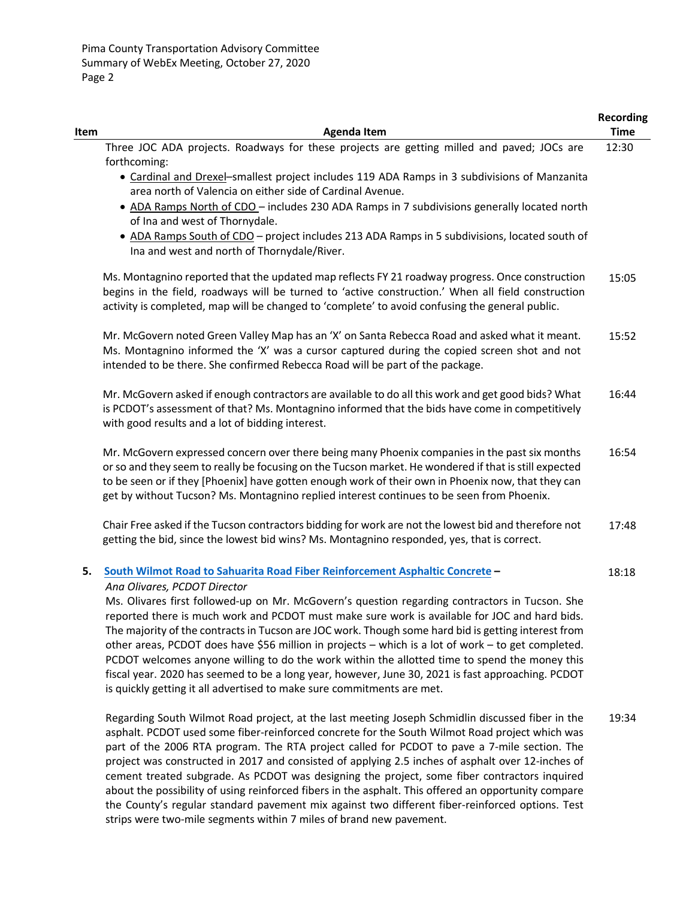| Item | <b>Agenda Item</b>                                                                                                                                                                                                                                                                                                                                                                                                                                                                                                                                                                                                                                                                           | <b>Recording</b><br><b>Time</b> |
|------|----------------------------------------------------------------------------------------------------------------------------------------------------------------------------------------------------------------------------------------------------------------------------------------------------------------------------------------------------------------------------------------------------------------------------------------------------------------------------------------------------------------------------------------------------------------------------------------------------------------------------------------------------------------------------------------------|---------------------------------|
|      | Three JOC ADA projects. Roadways for these projects are getting milled and paved; JOCs are                                                                                                                                                                                                                                                                                                                                                                                                                                                                                                                                                                                                   | 12:30                           |
|      | forthcoming:                                                                                                                                                                                                                                                                                                                                                                                                                                                                                                                                                                                                                                                                                 |                                 |
|      | • Cardinal and Drexel-smallest project includes 119 ADA Ramps in 3 subdivisions of Manzanita<br>area north of Valencia on either side of Cardinal Avenue.                                                                                                                                                                                                                                                                                                                                                                                                                                                                                                                                    |                                 |
|      | • ADA Ramps North of CDO - includes 230 ADA Ramps in 7 subdivisions generally located north<br>of Ina and west of Thornydale.                                                                                                                                                                                                                                                                                                                                                                                                                                                                                                                                                                |                                 |
|      | . ADA Ramps South of CDO - project includes 213 ADA Ramps in 5 subdivisions, located south of<br>Ina and west and north of Thornydale/River.                                                                                                                                                                                                                                                                                                                                                                                                                                                                                                                                                 |                                 |
|      | Ms. Montagnino reported that the updated map reflects FY 21 roadway progress. Once construction<br>begins in the field, roadways will be turned to 'active construction.' When all field construction<br>activity is completed, map will be changed to 'complete' to avoid confusing the general public.                                                                                                                                                                                                                                                                                                                                                                                     | 15:05                           |
|      | Mr. McGovern noted Green Valley Map has an 'X' on Santa Rebecca Road and asked what it meant.<br>Ms. Montagnino informed the 'X' was a cursor captured during the copied screen shot and not<br>intended to be there. She confirmed Rebecca Road will be part of the package.                                                                                                                                                                                                                                                                                                                                                                                                                | 15:52                           |
|      | Mr. McGovern asked if enough contractors are available to do all this work and get good bids? What<br>is PCDOT's assessment of that? Ms. Montagnino informed that the bids have come in competitively<br>with good results and a lot of bidding interest.                                                                                                                                                                                                                                                                                                                                                                                                                                    | 16:44                           |
|      | Mr. McGovern expressed concern over there being many Phoenix companies in the past six months<br>or so and they seem to really be focusing on the Tucson market. He wondered if that is still expected<br>to be seen or if they [Phoenix] have gotten enough work of their own in Phoenix now, that they can<br>get by without Tucson? Ms. Montagnino replied interest continues to be seen from Phoenix.                                                                                                                                                                                                                                                                                    | 16:54                           |
|      | Chair Free asked if the Tucson contractors bidding for work are not the lowest bid and therefore not<br>getting the bid, since the lowest bid wins? Ms. Montagnino responded, yes, that is correct.                                                                                                                                                                                                                                                                                                                                                                                                                                                                                          | 17:48                           |
| 5.   | South Wilmot Road to Sahuarita Road Fiber Reinforcement Asphaltic Concrete -<br>Ana Olivares, PCDOT Director                                                                                                                                                                                                                                                                                                                                                                                                                                                                                                                                                                                 | 18:18                           |
|      | Ms. Olivares first followed-up on Mr. McGovern's question regarding contractors in Tucson. She<br>reported there is much work and PCDOT must make sure work is available for JOC and hard bids.<br>The majority of the contracts in Tucson are JOC work. Though some hard bid is getting interest from<br>other areas, PCDOT does have \$56 million in projects - which is a lot of work - to get completed.<br>PCDOT welcomes anyone willing to do the work within the allotted time to spend the money this<br>fiscal year. 2020 has seemed to be a long year, however, June 30, 2021 is fast approaching. PCDOT<br>is quickly getting it all advertised to make sure commitments are met. |                                 |
|      | Regarding South Wilmot Road project, at the last meeting Joseph Schmidlin discussed fiber in the<br>asphalt. PCDOT used some fiber-reinforced concrete for the South Wilmot Road project which was<br>part of the 2006 RTA program. The RTA project called for PCDOT to pave a 7-mile section. The<br>project was constructed in 2017 and consisted of applying 2.5 inches of asphalt over 12-inches of<br>cement treated subgrade. As PCDOT was designing the project, some fiber contractors inquired<br>about the possibility of using reinforced fibers in the asphalt. This offered an opportunity compare                                                                              | 19:34                           |

the County's regular standard pavement mix against two different fiber-reinforced options. Test

strips were two-mile segments within 7 miles of brand new pavement.